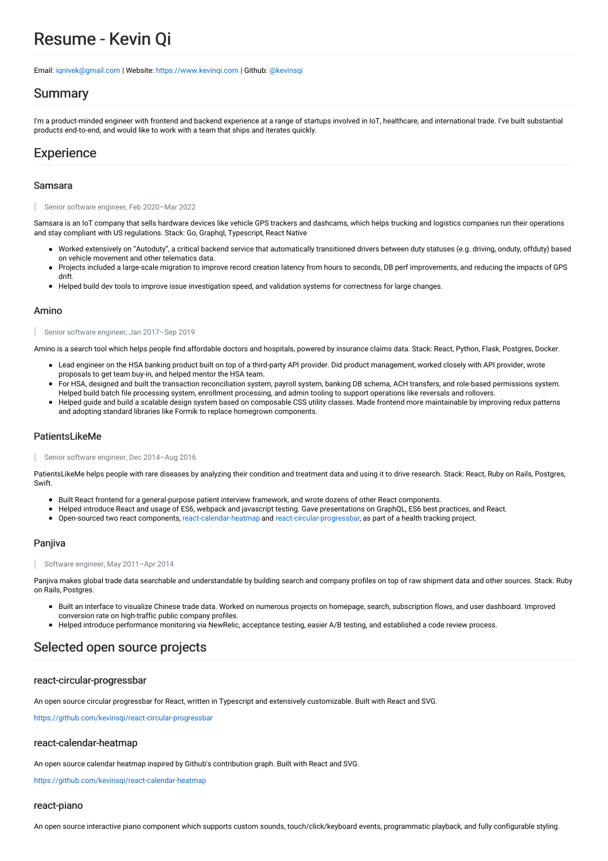# Resume - Kevin Qi

Email: [iqnivek@gmail.com](mailto:iqnivek@gmail.com) | Website: [https://www.kevinqi.com](https://www.kevinqi.com/) |Github: [@kevinsqi](https://github.com/kevinsqi)

### Summary

I'm a product-minded engineer with frontend and backend experience at a range of startups involved in IoT, healthcare, and international trade. I've built substantial products end-to-end, and would like to work with a team that ships and iterates quickly.

### **Experience**

#### Samsara

Senior software engineer, Feb 2020–Mar 2022

Samsara is an IoT company that sells hardware devices like vehicle GPS trackers and dashcams, which helps trucking and logistics companies run their operations and stay compliant with US regulations. Stack: Go, Graphql, Typescript, React Native

- Worked extensively on "Autoduty", a critical backend service that automatically transitioned drivers between duty statuses (e.g. driving, onduty, offduty) based on vehicle movement and other telematics data.
- Projects included a large-scale migration to improve record creation latency from hours to seconds, DB perf improvements, and reducing the impacts of GPS drift.
- Helped build dev tools to improve issue investigation speed, and validation systems for correctness for large changes.

#### Amino

#### Senior software engineer, Jan 2017–Sep 2019

Amino is a search tool which helps people find affordable doctors and hospitals, powered by insurance claims data. Stack: React, Python, Flask, Postgres, Docker.

- Lead engineer on the HSA banking product built on top of a third-party API provider. Did product management, worked closely with API provider, wrote proposals to get team buy-in, and helped mentor the HSA team.
- For HSA, designed and built the transaction reconciliation system, payroll system, banking DB schema, ACH transfers, and role-based permissions system. Helped build batch file processing system, enrollment processing, and admin tooling to support operations like reversals and rollovers.
- Helped guide and build a scalable design system based on composable CSS utility classes. Made frontend more maintainable by improving redux patterns and adopting standard libraries like Formik to replace homegrown components.

### PatientsLikeMe

Senior software engineer, Dec 2014–Aug 2016

PatientsLikeMe helps people with rare diseases by analyzing their condition and treatment data and using it to drive research. Stack: React, Ruby on Rails, Postgres, **Swift.** 

- Built React frontend for a general-purpose patient interview framework, and wrote dozens of other React components.
- Helped introduce React and usage of ES6, webpack and javascript testing. Gave presentations on GraphQL, ES6 best practices, and React.
- Open-sourced two react components, [react-calendar-heatmap](https://github.com/kevinsqi/react-calendar-heatmap) and [react-circular-progressbar](https://github.com/kevinsqi/react-circular-progressbar), as part of a health tracking project.

### Panjiva

Software engineer, May 2011–Apr 2014

Panjiva makes global trade data searchable and understandable by building search and company profiles on top of raw shipment data and other sources. Stack: Ruby on Rails, Postgres.

- Built an interface to visualize Chinese trade data. Worked on numerous projects on homepage, search, subscription flows, and user dashboard. Improved conversion rate on high-traffic public company profiles.
- Helped introduce performance monitoring via NewRelic, acceptance testing, easier A/B testing, and established a code review process.

### Selected open source projects

### react-circular-progressbar

An open source circular progressbar for React, written in Typescript and extensively customizable. Built with React and SVG.

https://github.com/kevinsgi/react-circular-progressbar

#### react-calendar-heatmap

An open source calendar heatmap inspired by Github's contribution graph. Built with React and SVG.

<https://github.com/kevinsqi/react-calendar-heatmap>

#### react-piano

An open source interactive piano component which supports custom sounds, touch/click/keyboard events, programmatic playback, and fully configurable styling.